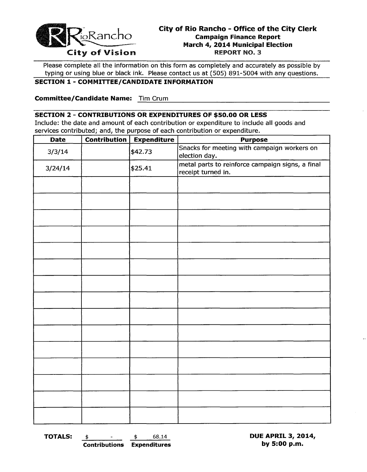

Please complete all the information on this form as completely and accurately as possible by typing or using blue or black ink. Please contact us at (505) 891-5004 with any questions.

# SECTION 1 - COMMITTEE/CANDIDATE INFORMATION

------------------------------------------------ Committee/Candidate Name: Tim Crum

#### SECTION 2 - CONTRIBUTIONS OR EXPENDITURES OF \$50.00 OR LESS

Include: the date and amount of each contribution or expenditure to include all goods and services contributed; and, the purpose of each contribution or expenditure.

| <b>Date</b> | <b>Contribution</b> | <b>Expenditure</b> | <b>Purpose</b>                                                         |
|-------------|---------------------|--------------------|------------------------------------------------------------------------|
| 3/3/14      |                     | \$42.73            | Snacks for meeting with campaign workers on<br>election day.           |
| 3/24/14     |                     | \$25.41            | metal parts to reinforce campaign signs, a final<br>receipt turned in. |
|             |                     |                    |                                                                        |
|             |                     |                    |                                                                        |
|             |                     |                    |                                                                        |
|             |                     |                    |                                                                        |
|             |                     |                    |                                                                        |
|             |                     |                    |                                                                        |
|             |                     |                    |                                                                        |
|             |                     |                    |                                                                        |
|             |                     |                    |                                                                        |
|             |                     |                    |                                                                        |
|             |                     |                    |                                                                        |
|             |                     |                    |                                                                        |
|             |                     |                    |                                                                        |
|             |                     |                    |                                                                        |
|             |                     |                    |                                                                        |

**TOTALS:**  $\frac{\$}{\$}$   $\frac{\$}{\$}$   $\frac{\$}{\$}$   $\frac{68.14}{\$}$  DUE APRIL 3, 2014, DUE APRIL 3, 2014, Contributions Expenditures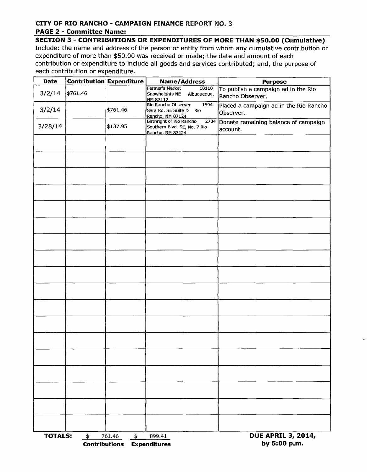# **CITY OF RIO RANCHO - CAMPAIGN FINANCE** REPORT NO.3

## **PAGE 2 - Committee Name:**

**SECTION 3 - CONTRIBUTIONS OR EXPENDITURES OF MORE THAN \$50.00 (Cumulative)**  Include: the name and address of the person or entity from whom any cumulative contribution or expenditure of more than \$50.00 was received or made; the date and amount of each contribution or expenditure to include all goods and services contributed; and, the purpose of each contribution or expenditure.

| <b>Date</b>    |                                       | <b>Contribution Expenditure</b> | Name/Address                                                                         | <b>Purpose</b>                                          |
|----------------|---------------------------------------|---------------------------------|--------------------------------------------------------------------------------------|---------------------------------------------------------|
| 3/2/14         | \$761.46                              |                                 | Farmer's Market<br>10110<br>Snowheights NE<br>Albuqueque,<br>NM 87112                | To publish a campaign ad in the Rio<br>Rancho Observer. |
| 3/2/14         |                                       | \$761.46                        | Rio Rancho Observer<br>1594<br>Sara Rd. SE Suite D<br>Río<br>Rancho, NM 87124        | Placed a campaign ad in the Rio Rancho<br>Observer.     |
| 3/28/14        |                                       | \$137.95                        | Birthright of Rio Rancho<br>2704<br>Southern Blvd. SE, No. 7 Rio<br>Rancho, NM 87124 | Donate remaining balance of campaign<br>account.        |
|                |                                       |                                 |                                                                                      |                                                         |
|                |                                       |                                 |                                                                                      |                                                         |
|                |                                       |                                 |                                                                                      |                                                         |
|                |                                       |                                 |                                                                                      |                                                         |
|                |                                       |                                 |                                                                                      |                                                         |
|                |                                       |                                 |                                                                                      |                                                         |
|                |                                       |                                 |                                                                                      |                                                         |
|                |                                       |                                 |                                                                                      |                                                         |
|                |                                       |                                 |                                                                                      |                                                         |
|                |                                       |                                 |                                                                                      |                                                         |
|                |                                       |                                 |                                                                                      |                                                         |
|                |                                       |                                 |                                                                                      |                                                         |
|                |                                       |                                 |                                                                                      |                                                         |
|                |                                       |                                 |                                                                                      |                                                         |
|                |                                       |                                 |                                                                                      |                                                         |
|                |                                       |                                 |                                                                                      |                                                         |
|                |                                       |                                 |                                                                                      |                                                         |
|                |                                       |                                 |                                                                                      |                                                         |
| <b>TOTALS:</b> | $\frac{1}{2}$<br><b>Contributions</b> | 761.46<br>$\frac{4}{3}$         | 899.41<br><b>Expenditures</b>                                                        | <b>DUE APRIL 3, 2014,</b><br>by 5:00 p.m.               |